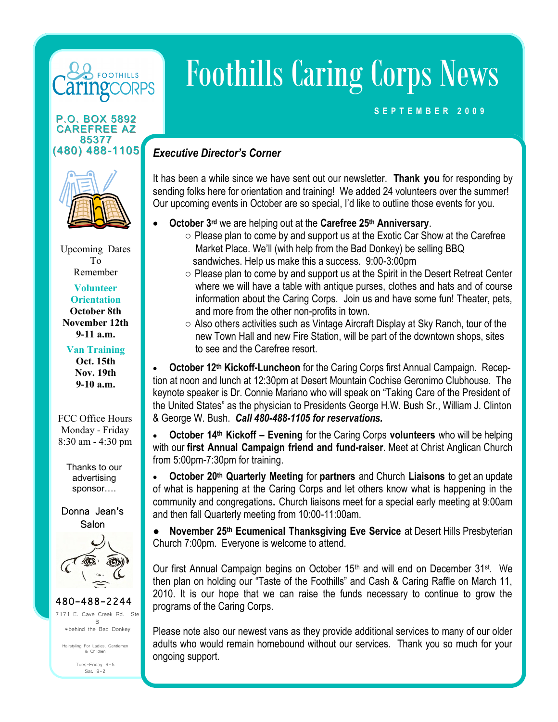# **FOOTHILLS ORPS**

#### P.O. BOX 5892 CAREFREE AZ 85377 (480) 488-1105



Upcoming Dates To Remember

#### **Volunteer Orientation October 8th November 12th 9-11 a.m.**

#### **Van Training Oct. 15th Nov. 19th 9-10 a.m.**

### FCC Office Hours Monday - Friday 8:30 am - 4:30 pm

Thanks to our advertising sponsor….

## Donna Jean's Salon



480-488-2244 E. Cave Creek Rd. Ste B \*behind the Bad Donkey Tues-Friday 9-5 Hairstyling For Ladies, Gentlemen & Children

Sat. 9-2

Foothills Caring Corps News

## **S E P T E M B E R 2 0 0 9**

## *Executive Director's Corner*

It has been a while since we have sent out our newsletter. **Thank you** for responding by sending folks here for orientation and training! We added 24 volunteers over the summer! Our upcoming events in October are so special, I'd like to outline those events for you.

- **October 3rd** we are helping out at the **Carefree 25th Anniversary**.
	- $\circ$  Please plan to come by and support us at the Exotic Car Show at the Carefree Market Place. We'll (with help from the Bad Donkey) be selling BBQ sandwiches. Help us make this a success. 9:00-3:00pm
- **Partner Congregation Congregation Congregation Congregation Congregation Congregation Congregation Congregation Congregation Congregation Congregation Congregation Congregation Congregation Congregatio** information about the Caring Corps. Join us and have some fun! Theater, pets, ○ Please plan to come by and support us at the Spirit in the Desert Retreat Center where we will have a table with antique purses, clothes and hats and of course
- Also others activities such as Vintage Aircraft Display at Sky Ranch, tour of the **18%** new Town Hall and new Fire Station, will be part of the downtown shops, sites to see and the Carefree resort.

 **October 12th Kickoff-Luncheon** for the Caring Corps first Annual Campaign. Reception at noon and lunch at 12:30pm at Desert Mountain Cochise Geronimo Clubhouse. The keynote speaker is Dr. Connie Mariano who will speak on "Taking Care of the President of the United States" as the physician to Presidents George H.W. Bush Sr., William J. Clinton & George W. Bush. *Call 480-488-1105 for reservations.*

**Government-9%** with our **first Annual Campaign friend and fund-raiser**. Meet at Christ Anglican Church **Fundraiser-54%** from 5:00pm-7:30pm for training. **October 14th Kickoff – Evening** for the Caring Corps **volunteers** who will be helping

 **October 20th Quarterly Meeting** for **partners** and Church **Liaisons** to get an update of what is happening at the Caring Corps and let others know what is happening in the community and congregations**.** Church liaisons meet for a special early meeting at 9:00am and then fall Quarterly meeting from 10:00-11:00am.

**● November 25th Ecumenical Thanksgiving Eve Service** at Desert Hills Presbyterian Church 7:00pm. Everyone is welcome to attend.

Our first Annual Campaign begins on October 15th and will end on December 31st. We then plan on holding our "Taste of the Foothills" and Cash & Caring Raffle on March 11, 2010. It is our hope that we can raise the funds necessary to continue to grow the programs of the Caring Corps.

Please note also our newest vans as they provide additional services to many of our older adults who would remain homebound without our services. Thank you so much for your ongoing support.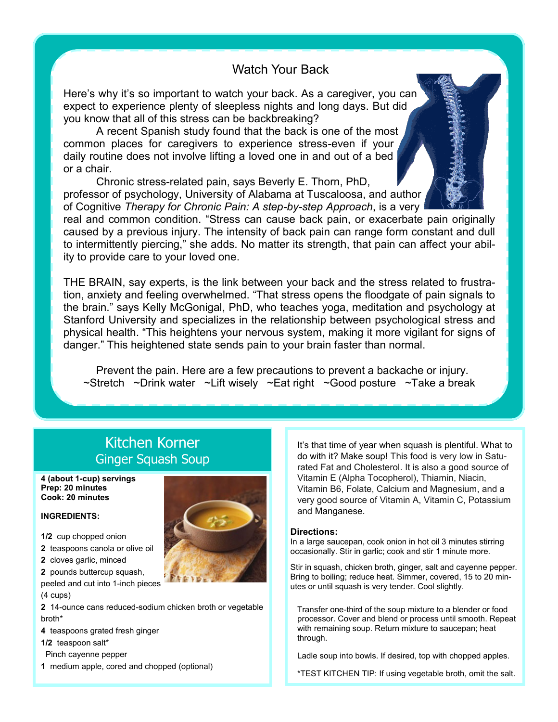## Watch Your Back

Here's why it's so important to watch your back. As a caregiver, you can expect to experience plenty of sleepless nights and long days. But did you know that all of this stress can be backbreaking?

A recent Spanish study found that the back is one of the most common places for caregivers to experience stress-even if your daily routine does not involve lifting a loved one in and out of a bed or a chair.

Chronic stress-related pain, says Beverly E. Thorn, PhD, professor of psychology, University of Alabama at Tuscaloosa, and author of Cognitive *Therapy for Chronic Pain: A step-by-step Approach*, is a very

real and common condition. "Stress can cause back pain, or exacerbate pain originally caused by a previous injury. The intensity of back pain can range form constant and dull to intermittently piercing," she adds. No matter its strength, that pain can affect your ability to provide care to your loved one.

THE BRAIN, say experts, is the link between your back and the stress related to frustration, anxiety and feeling overwhelmed. "That stress opens the floodgate of pain signals to the brain." says Kelly McGonigal, PhD, who teaches yoga, meditation and psychology at Stanford University and specializes in the relationship between psychological stress and physical health. "This heightens your nervous system, making it more vigilant for signs of danger." This heightened state sends pain to your brain faster than normal.

Prevent the pain. Here are a few precautions to prevent a backache or injury.  $\sim$ Stretch  $\sim$ Drink water  $\sim$ Lift wisely  $\sim$ Eat right  $\sim$ Good posture  $\sim$ Take a break

## Kitchen Korner Ginger Squash Soup

#### **4 (about 1-cup) servings Prep: 20 minutes Cook: 20 minutes**

#### **INGREDIENTS:**

- **1/2** cup chopped onion
- **2** teaspoons canola or olive oil
- **2** cloves garlic, minced
- **2** pounds buttercup squash,
- peeled and cut into 1-inch pieces
- (4 cups)

**2** 14-ounce cans reduced-sodium chicken broth or vegetable broth\*

**4** teaspoons grated fresh ginger

**1/2** teaspoon salt\*

Pinch cayenne pepper

**1** medium apple, cored and chopped (optional)

It's that time of year when squash is plentiful. What to do with it? Make soup! This food is very low in Saturated Fat and Cholesterol. It is also a good source of Vitamin E (Alpha Tocopherol), Thiamin, Niacin, Vitamin B6, Folate, Calcium and Magnesium, and a very good source of Vitamin A, Vitamin C, Potassium and Manganese.

#### **Directions:**

In a large saucepan, cook onion in hot oil 3 minutes stirring occasionally. Stir in garlic; cook and stir 1 minute more.

Stir in squash, chicken broth, ginger, salt and cayenne pepper. Bring to boiling; reduce heat. Simmer, covered, 15 to 20 minutes or until squash is very tender. Cool slightly.

Transfer one-third of the soup mixture to a blender or food processor. Cover and blend or process until smooth. Repeat with remaining soup. Return mixture to saucepan; heat through.

Ladle soup into bowls. If desired, top with chopped apples.

\*TEST KITCHEN TIP: If using vegetable broth, omit the salt.

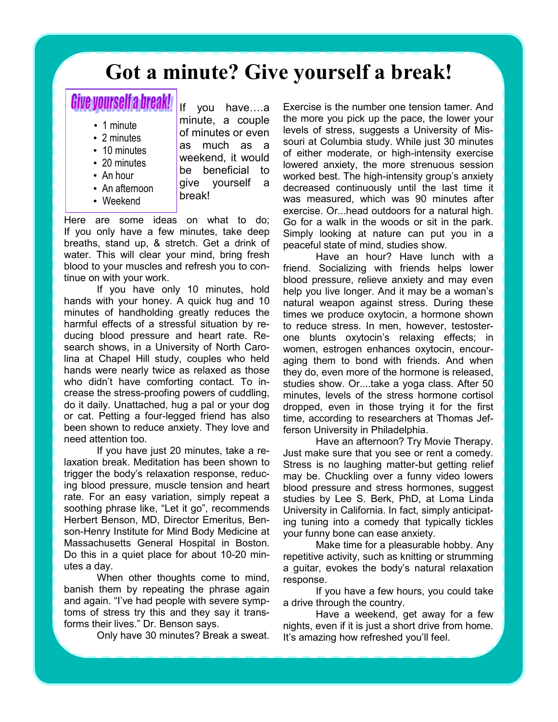# **Got a minute? Give yourself a break!**

# Give yourself a break!

- 1 minute
- 2 minutes
- 10 minutes
- 20 minutes
- An hour
- An afternoon
- Weekend

If you have….a minute, a couple of minutes or even as much as a weekend, it would be beneficial to give yourself a break!

Here are some ideas on what to do; If you only have a few minutes, take deep breaths, stand up, & stretch. Get a drink of water. This will clear your mind, bring fresh blood to your muscles and refresh you to continue on with your work.

If you have only 10 minutes, hold hands with your honey. A quick hug and 10 minutes of handholding greatly reduces the harmful effects of a stressful situation by reducing blood pressure and heart rate. Research shows, in a University of North Carolina at Chapel Hill study, couples who held hands were nearly twice as relaxed as those who didn't have comforting contact. To increase the stress-proofing powers of cuddling, do it daily. Unattached, hug a pal or your dog or cat. Petting a four-legged friend has also been shown to reduce anxiety. They love and need attention too.

If you have just 20 minutes, take a relaxation break. Meditation has been shown to trigger the body's relaxation response, reducing blood pressure, muscle tension and heart rate. For an easy variation, simply repeat a soothing phrase like, "Let it go", recommends Herbert Benson, MD, Director Emeritus, Benson-Henry Institute for Mind Body Medicine at Massachusetts General Hospital in Boston. Do this in a quiet place for about 10-20 minutes a day.

When other thoughts come to mind, banish them by repeating the phrase again and again. "I've had people with severe symptoms of stress try this and they say it transforms their lives." Dr. Benson says.

Only have 30 minutes? Break a sweat.

Exercise is the number one tension tamer. And the more you pick up the pace, the lower your levels of stress, suggests a University of Missouri at Columbia study. While just 30 minutes of either moderate, or high-intensity exercise lowered anxiety, the more strenuous session worked best. The high-intensity group's anxiety decreased continuously until the last time it was measured, which was 90 minutes after exercise. Or...head outdoors for a natural high. Go for a walk in the woods or sit in the park. Simply looking at nature can put you in a peaceful state of mind, studies show.

Have an hour? Have lunch with a friend. Socializing with friends helps lower blood pressure, relieve anxiety and may even help you live longer. And it may be a woman's natural weapon against stress. During these times we produce oxytocin, a hormone shown to reduce stress. In men, however, testosterone blunts oxytocin's relaxing effects; in women, estrogen enhances oxytocin, encouraging them to bond with friends. And when they do, even more of the hormone is released, studies show. Or....take a yoga class. After 50 minutes, levels of the stress hormone cortisol dropped, even in those trying it for the first time, according to researchers at Thomas Jefferson University in Philadelphia.

Have an afternoon? Try Movie Therapy. Just make sure that you see or rent a comedy. Stress is no laughing matter-but getting relief may be. Chuckling over a funny video lowers blood pressure and stress hormones, suggest studies by Lee S. Berk, PhD, at Loma Linda University in California. In fact, simply anticipating tuning into a comedy that typically tickles your funny bone can ease anxiety.

Make time for a pleasurable hobby. Any repetitive activity, such as knitting or strumming a guitar, evokes the body's natural relaxation response.

If you have a few hours, you could take a drive through the country.

Have a weekend, get away for a few nights, even if it is just a short drive from home. It's amazing how refreshed you'll feel.